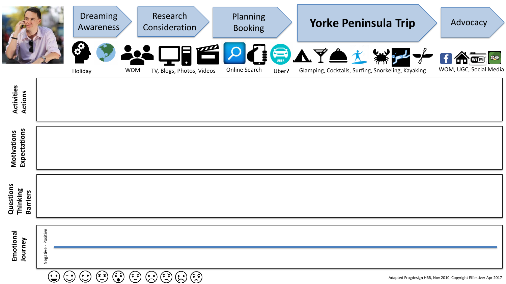|                                          |                     | <b>Dreaming</b><br>Awareness |            | Research<br>Consideration           | <b>Planning</b><br><b>Booking</b> |       | <b>Yorke Peninsula Trip</b>                                  | Advocacy                     |
|------------------------------------------|---------------------|------------------------------|------------|-------------------------------------|-----------------------------------|-------|--------------------------------------------------------------|------------------------------|
|                                          |                     | Holiday                      | <b>WOM</b> | $\Box$<br>TV, Blogs, Photos, Videos | Online Search                     | Uber? | CEATAX<br>Glamping, Cocktails, Surfing, Snorkeling, Kayaking | QQ<br>WOM, UGC, Social Media |
| <b>Activities</b><br>Actions             |                     |                              |            |                                     |                                   |       |                                                              |                              |
| Expectations<br>Motivations              |                     |                              |            |                                     |                                   |       |                                                              |                              |
| Questions<br>Thinking<br><b>Barriers</b> |                     |                              |            |                                     |                                   |       |                                                              |                              |
| Emotional<br>Journey                     | Negative - Positive |                              |            |                                     |                                   |       |                                                              |                              |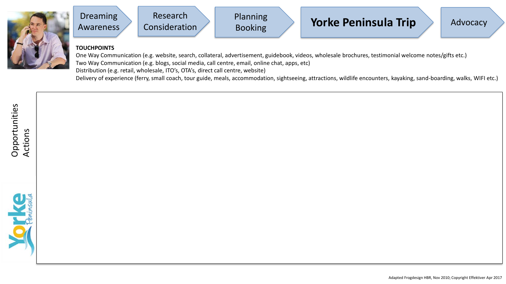



## **TOUCHPOINTS**

One Way Communication (e.g. website, search, collateral, advertisement, guidebook, videos, wholesale brochures, testimonial welcome notes/gifts etc.) Two Way Communication (e.g. blogs, social media, call centre, email, online chat, apps, etc) Distribution (e.g. retail, wholesale, ITO's, OTA's, direct call centre, website)

Delivery of experience (ferry, small coach, tour guide, meals, accommodation, sightseeing, attractions, wildlife encounters, kayaking, sand-boarding, walks, WIFI etc.)

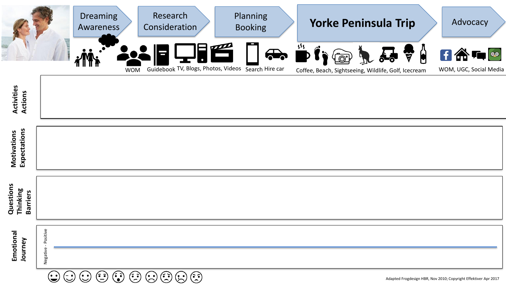|                                          |                     | <b>Dreaming</b><br>Awareness | Research<br>Consideration                       | Planning<br><b>Booking</b>                                              | <b>Yorke Peninsula Trip</b>                                                          | Advocacy                                                       |
|------------------------------------------|---------------------|------------------------------|-------------------------------------------------|-------------------------------------------------------------------------|--------------------------------------------------------------------------------------|----------------------------------------------------------------|
|                                          |                     |                              | <b>WOM</b>                                      | $\sum_{i=1}^{n}$<br>Guidebook TV, Blogs, Photos, Videos Search Hire car | $\frac{355}{100}$<br>Îä<br>ੱ<br>Coffee, Beach, Sightseeing, Wildlife, Golf, Icecream | $H \bigoplus \mathbf{F}$<br>$\theta$<br>WOM, UGC, Social Media |
| Activities<br>Actions                    |                     |                              |                                                 |                                                                         |                                                                                      |                                                                |
| Expectations<br>Motivations              |                     |                              |                                                 |                                                                         |                                                                                      |                                                                |
| Questions<br>Thinking<br><b>Barriers</b> |                     |                              |                                                 |                                                                         |                                                                                      |                                                                |
| Emotional<br>Journey                     | Negative - Positive |                              |                                                 |                                                                         |                                                                                      |                                                                |
|                                          | (. .                | $\bigcap$ $\bigcap$          | $\odot$ $\odot$ $\odot$ $\odot$ $\odot$ $\odot$ |                                                                         |                                                                                      |                                                                |

Adapted Frogdesign HBR, Nov 2010; Copyright Effektiver Apr 2017

 $G \circ G \circ G \circ G \circ G \circ G$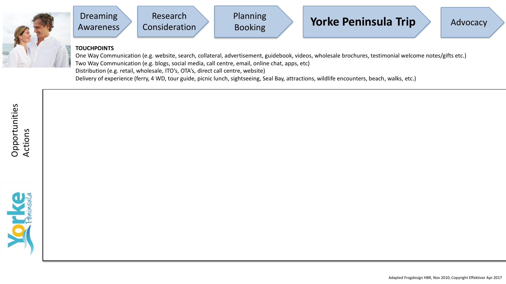





## **TOUCHPOINTS**

One Way Communication (e.g. website, search, collateral, advertisement, guidebook, videos, wholesale brochures, testimonial welcome notes/gifts etc.) Two Way Communication (e.g. blogs, social media, call centre, email, online chat, apps, etc) Distribution (e.g. retail, wholesale, ITO's, OTA's, direct call centre, website) Delivery of experience (ferry, 4 WD, tour guide, picnic lunch, sightseeing, Seal Bay, attractions, wildlife encounters, beach, walks, etc.)

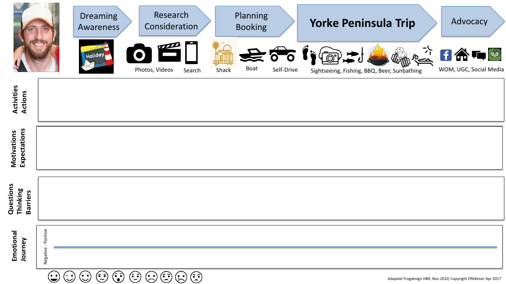|                               | <b>Dreaming</b><br>Awareness<br>Holiday | Research<br>Consideration<br>OE<br>Photos, Videos | <b>Shack</b><br>Search | Planning<br><b>Booking</b><br>Boat | Self-Drive | <b>Yorke Peninsula Trip</b><br>Effinition<br><b>COLORED</b> | Advocacy<br>$\frac{1}{2}$ f a to $\bullet$<br>WOM, UGC, Social Media |
|-------------------------------|-----------------------------------------|---------------------------------------------------|------------------------|------------------------------------|------------|-------------------------------------------------------------|----------------------------------------------------------------------|
| <b>Activities<br/>Actions</b> |                                         |                                                   |                        |                                    |            | Sightseeing, Fishing, BBQ, Beer, Sunbathing                 |                                                                      |
| Motivations<br>Expectations   |                                         |                                                   |                        |                                    |            |                                                             |                                                                      |

Need a holiday, Spend quality time, fun times, taste different food & wine, relax, unwind

| 0 |   |
|---|---|
| Ξ |   |
|   | б |
| ۰ |   |
|   |   |
|   |   |
|   |   |

**Questions Thinking Barriers** 

Negative - Positive

Negative - Positive

 $\begin{picture}(20,20) \put(0,0){\line(1,0){155}} \put(15,0){\line(1,0){155}} \put(15,0){\line(1,0){155}} \put(15,0){\line(1,0){155}} \put(15,0){\line(1,0){155}} \put(15,0){\line(1,0){155}} \put(15,0){\line(1,0){155}} \put(15,0){\line(1,0){155}} \put(15,0){\line(1,0){155}} \put(15,0){\line(1,0){155}} \put(15,0){\line(1,0){155}} \$  $\begin{picture}(22,20) \put(0,0){\line(1,0){155}} \put(15,0){\line(1,0){155}} \put(15,0){\line(1,0){155}} \put(15,0){\line(1,0){155}} \put(15,0){\line(1,0){155}} \put(15,0){\line(1,0){155}} \put(15,0){\line(1,0){155}} \put(15,0){\line(1,0){155}} \put(15,0){\line(1,0){155}} \put(15,0){\line(1,0){155}} \put(15,0){\line(1,0){155}} \$  $\odot$   $\odot$   $\odot$  $\bigodot$  $\bigodot$  $\bigodot$